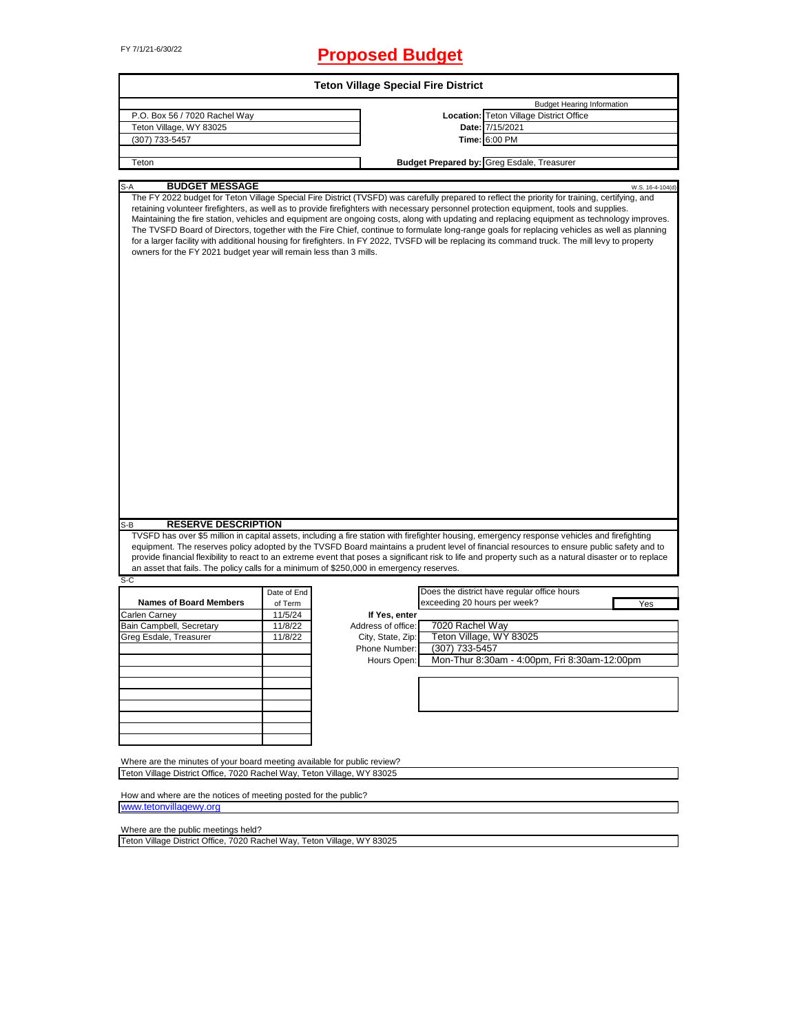# FY 7/1/21-6/30/22 **Proposed Budget**

| <b>Teton Village Special Fire District</b>                                                                                                          |             |                    |                              |                                                                                                                                                                                                                                                                                                                                                                                                                                                                                                                                                                                                                                                                                                                                                |                  |  |  |
|-----------------------------------------------------------------------------------------------------------------------------------------------------|-------------|--------------------|------------------------------|------------------------------------------------------------------------------------------------------------------------------------------------------------------------------------------------------------------------------------------------------------------------------------------------------------------------------------------------------------------------------------------------------------------------------------------------------------------------------------------------------------------------------------------------------------------------------------------------------------------------------------------------------------------------------------------------------------------------------------------------|------------------|--|--|
|                                                                                                                                                     |             |                    |                              | <b>Budget Hearing Information</b>                                                                                                                                                                                                                                                                                                                                                                                                                                                                                                                                                                                                                                                                                                              |                  |  |  |
| P.O. Box 56 / 7020 Rachel Way                                                                                                                       |             |                    |                              | Location: Teton Village District Office                                                                                                                                                                                                                                                                                                                                                                                                                                                                                                                                                                                                                                                                                                        |                  |  |  |
| Teton Village, WY 83025                                                                                                                             |             |                    |                              | Date: 7/15/2021                                                                                                                                                                                                                                                                                                                                                                                                                                                                                                                                                                                                                                                                                                                                |                  |  |  |
| (307) 733-5457                                                                                                                                      |             |                    |                              | Time: 6:00 PM                                                                                                                                                                                                                                                                                                                                                                                                                                                                                                                                                                                                                                                                                                                                  |                  |  |  |
| Teton                                                                                                                                               |             |                    |                              | <b>Budget Prepared by: Greg Esdale, Treasurer</b>                                                                                                                                                                                                                                                                                                                                                                                                                                                                                                                                                                                                                                                                                              |                  |  |  |
|                                                                                                                                                     |             |                    |                              |                                                                                                                                                                                                                                                                                                                                                                                                                                                                                                                                                                                                                                                                                                                                                |                  |  |  |
| <b>BUDGET MESSAGE</b><br>-A<br>owners for the FY 2021 budget year will remain less than 3 mills.                                                    |             |                    |                              | The FY 2022 budget for Teton Village Special Fire District (TVSFD) was carefully prepared to reflect the priority for training, certifying, and<br>retaining volunteer firefighters, as well as to provide firefighters with necessary personnel protection equipment, tools and supplies.<br>Maintaining the fire station, vehicles and equipment are ongoing costs, along with updating and replacing equipment as technology improves.<br>The TVSFD Board of Directors, together with the Fire Chief, continue to formulate long-range goals for replacing vehicles as well as planning<br>for a larger facility with additional housing for firefighters. In FY 2022, TVSFD will be replacing its command truck. The mill levy to property | W.S. 16-4-104(d) |  |  |
| <b>RESERVE DESCRIPTION</b><br>S-B                                                                                                                   |             |                    |                              | TVSFD has over \$5 million in capital assets, including a fire station with firefighter housing, emergency response vehicles and firefighting                                                                                                                                                                                                                                                                                                                                                                                                                                                                                                                                                                                                  |                  |  |  |
|                                                                                                                                                     |             |                    |                              | equipment. The reserves policy adopted by the TVSFD Board maintains a prudent level of financial resources to ensure public safety and to<br>provide financial flexibility to react to an extreme event that poses a significant risk to life and property such as a natural disaster or to replace                                                                                                                                                                                                                                                                                                                                                                                                                                            |                  |  |  |
| an asset that fails. The policy calls for a minimum of \$250,000 in emergency reserves.<br>S-C                                                      |             |                    |                              |                                                                                                                                                                                                                                                                                                                                                                                                                                                                                                                                                                                                                                                                                                                                                |                  |  |  |
|                                                                                                                                                     | Date of End |                    |                              | Does the district have regular office hours                                                                                                                                                                                                                                                                                                                                                                                                                                                                                                                                                                                                                                                                                                    |                  |  |  |
| <b>Names of Board Members</b>                                                                                                                       | of Term     |                    | exceeding 20 hours per week? |                                                                                                                                                                                                                                                                                                                                                                                                                                                                                                                                                                                                                                                                                                                                                | Yes              |  |  |
| Carlen Carney                                                                                                                                       | 11/5/24     | If Yes, enter      |                              |                                                                                                                                                                                                                                                                                                                                                                                                                                                                                                                                                                                                                                                                                                                                                |                  |  |  |
| Bain Campbell, Secretary                                                                                                                            | 11/8/22     | Address of office: | 7020 Rachel Way              |                                                                                                                                                                                                                                                                                                                                                                                                                                                                                                                                                                                                                                                                                                                                                |                  |  |  |
| Greg Esdale, Treasurer                                                                                                                              | 11/8/22     | City, State, Zip:  |                              | Teton Village, WY 83025                                                                                                                                                                                                                                                                                                                                                                                                                                                                                                                                                                                                                                                                                                                        |                  |  |  |
|                                                                                                                                                     |             | Phone Number:      | (307) 733-5457               |                                                                                                                                                                                                                                                                                                                                                                                                                                                                                                                                                                                                                                                                                                                                                |                  |  |  |
|                                                                                                                                                     |             | Hours Open:        |                              | Mon-Thur 8:30am - 4:00pm, Fri 8:30am-12:00pm                                                                                                                                                                                                                                                                                                                                                                                                                                                                                                                                                                                                                                                                                                   |                  |  |  |
|                                                                                                                                                     |             |                    |                              |                                                                                                                                                                                                                                                                                                                                                                                                                                                                                                                                                                                                                                                                                                                                                |                  |  |  |
|                                                                                                                                                     |             |                    |                              |                                                                                                                                                                                                                                                                                                                                                                                                                                                                                                                                                                                                                                                                                                                                                |                  |  |  |
|                                                                                                                                                     |             |                    |                              |                                                                                                                                                                                                                                                                                                                                                                                                                                                                                                                                                                                                                                                                                                                                                |                  |  |  |
|                                                                                                                                                     |             |                    |                              |                                                                                                                                                                                                                                                                                                                                                                                                                                                                                                                                                                                                                                                                                                                                                |                  |  |  |
|                                                                                                                                                     |             |                    |                              |                                                                                                                                                                                                                                                                                                                                                                                                                                                                                                                                                                                                                                                                                                                                                |                  |  |  |
|                                                                                                                                                     |             |                    |                              |                                                                                                                                                                                                                                                                                                                                                                                                                                                                                                                                                                                                                                                                                                                                                |                  |  |  |
|                                                                                                                                                     |             |                    |                              |                                                                                                                                                                                                                                                                                                                                                                                                                                                                                                                                                                                                                                                                                                                                                |                  |  |  |
| Where are the minutes of your board meeting available for public review?<br>Teton Village District Office, 7020 Rachel Way, Teton Village, WY 83025 |             |                    |                              |                                                                                                                                                                                                                                                                                                                                                                                                                                                                                                                                                                                                                                                                                                                                                |                  |  |  |
|                                                                                                                                                     |             |                    |                              |                                                                                                                                                                                                                                                                                                                                                                                                                                                                                                                                                                                                                                                                                                                                                |                  |  |  |
| How and where are the notices of meeting posted for the public?<br>www.tetonvillagewy.org                                                           |             |                    |                              |                                                                                                                                                                                                                                                                                                                                                                                                                                                                                                                                                                                                                                                                                                                                                |                  |  |  |

[www.teton](http://www.tetonvillagewy.org/)villagewy.org

Where are the public meetings held?

Teton Village District Office, 7020 Rachel Way, Teton Village, WY 83025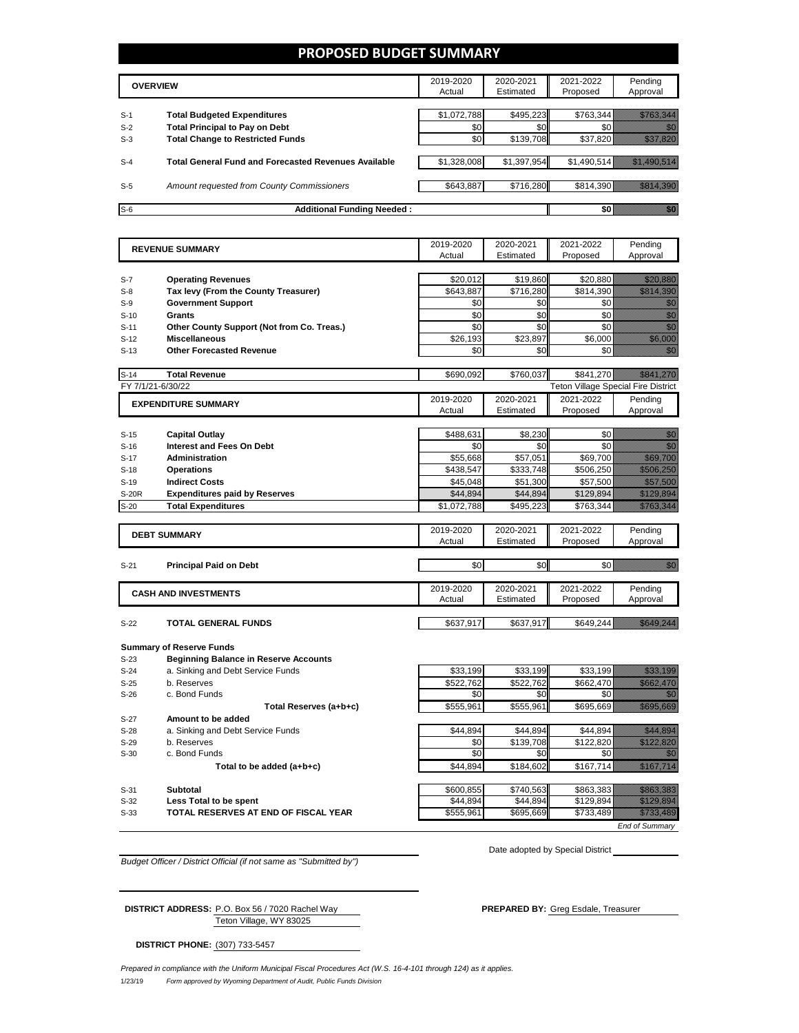## **PROPOSED BUDGET SUMMARY**

|       | <b>OVERVIEW</b>                                             | 2019-2020<br>Actual | 2020-2021<br>Estimated | 2021-2022<br>Proposed | Pending<br>Approval |
|-------|-------------------------------------------------------------|---------------------|------------------------|-----------------------|---------------------|
| $S-1$ | <b>Total Budgeted Expenditures</b>                          | \$1,072,788         | \$495.223              | \$763.344             |                     |
| $S-2$ | <b>Total Principal to Pay on Debt</b>                       | \$0                 | \$0                    |                       |                     |
| $S-3$ | <b>Total Change to Restricted Funds</b>                     | \$0                 | \$139,708              | \$37,820              |                     |
| $S-4$ | <b>Total General Fund and Forecasted Revenues Available</b> | \$1,328,008         | \$1,397,954            | \$1,490,514           |                     |
| $S-5$ | Amount requested from County Commissioners                  | \$643,887           | \$716,280              | \$814.390             |                     |
| $S-6$ | <b>Additional Funding Needed:</b>                           |                     |                        |                       |                     |

|        | <b>REVENUE SUMMARY</b>                       | 2019-2020<br>Actual | 2020-2021<br>Estimated | 2021-2022<br>Proposed                      | Pending<br>Approval                                                                                                                                                                                                              |
|--------|----------------------------------------------|---------------------|------------------------|--------------------------------------------|----------------------------------------------------------------------------------------------------------------------------------------------------------------------------------------------------------------------------------|
|        |                                              |                     |                        |                                            |                                                                                                                                                                                                                                  |
| $S-7$  | <b>Operating Revenues</b>                    | \$20,012            | \$19,860               | \$20,880                                   | <u>till allt sta</u>                                                                                                                                                                                                             |
| $S-8$  | Tax levy (From the County Treasurer)         | \$643,887           | \$716,280              | \$814,390                                  | <u> Maria Maria Indonesia (</u>                                                                                                                                                                                                  |
| $S-9$  | <b>Government Support</b>                    | \$0                 | \$0                    | \$0                                        | en de la familie de la familie de la familie de la familie de la familie de la familie de la familie de la fam<br>De la familie de la familie de la familie de la familie de la familie de la familie de la familie de la famili |
| $S-10$ | Grants                                       | \$0                 | \$0                    | \$0                                        | en de la familie de la familie de la familie de la familie de la familie de la familie de la familie de la fa<br>Constitution de la familie de la familie de la familie de la familie de la familie de la familie de la familie  |
| $S-11$ | Other County Support (Not from Co. Treas.)   | \$0                 | \$0                    | \$0                                        | en de la familie de la familie de la familie de la familie de la familie de la familie de la familie de la fam<br>Estat de la familie de la familie de la familie de la familie de la familie de la familie de la familie de la  |
| $S-12$ | <b>Miscellaneous</b>                         | \$26,193            | \$23,897               | \$6,000                                    | <u>i ka</u>                                                                                                                                                                                                                      |
| $S-13$ | <b>Other Forecasted Revenue</b>              | \$0                 | \$0                    | \$0                                        | ni kata                                                                                                                                                                                                                          |
| $S-14$ | <b>Total Revenue</b>                         | \$690,092           | \$760,037              | \$841,270                                  | <u> Historia (</u>                                                                                                                                                                                                               |
|        | FY 7/1/21-6/30/22                            |                     |                        | <b>Teton Village Special Fire District</b> |                                                                                                                                                                                                                                  |
|        | <b>EXPENDITURE SUMMARY</b>                   | 2019-2020           | 2020-2021              | 2021-2022                                  | Pending                                                                                                                                                                                                                          |
|        |                                              | Actual              | Estimated              | Proposed                                   | Approval                                                                                                                                                                                                                         |
| $S-15$ | <b>Capital Outlay</b>                        | \$488,631           | \$8,230                | \$0                                        | en de la familie de la familie de la familie de la familie de la familie de la familie de la familie de la fam<br>De la familie de la familie de la familie de la familie de la familie de la familie de la familie de la famili |
| $S-16$ | <b>Interest and Fees On Debt</b>             | \$0                 | \$0                    | \$0                                        | en de la familie de la familie de la familie de la familie de la familie de la familie de la familie de la fam<br>Constituit de la familie de la familie de la familie de la familie de la familie de la familie de la familie d |
| $S-17$ | <b>Administration</b>                        | \$55,668            | \$57,051               | \$69,700                                   | <u>mana ya k</u>                                                                                                                                                                                                                 |
| $S-18$ | <b>Operations</b>                            | \$438,547           | \$333,748              | \$506,250                                  | <u> Historiano e</u>                                                                                                                                                                                                             |
| $S-19$ | <b>Indirect Costs</b>                        | \$45,048            | \$51,300               | \$57,500                                   | <u> Hillingssök</u>                                                                                                                                                                                                              |
| S-20R  | <b>Expenditures paid by Reserves</b>         | \$44,894            | \$44,894               | \$129,894                                  | <u> Charles Charles</u>                                                                                                                                                                                                          |
| $S-20$ | <b>Total Expenditures</b>                    | \$1,072,788         | \$495,223              | \$763,344                                  | <u>Maria Maria</u>                                                                                                                                                                                                               |
|        |                                              |                     |                        |                                            |                                                                                                                                                                                                                                  |
|        | <b>DEBT SUMMARY</b>                          | 2019-2020<br>Actual | 2020-2021<br>Estimated | 2021-2022<br>Proposed                      | Pending<br>Approval                                                                                                                                                                                                              |
|        |                                              |                     |                        |                                            |                                                                                                                                                                                                                                  |
| $S-21$ | <b>Principal Paid on Debt</b>                | \$0                 | \$0                    | \$0                                        | en de la familie de la familie de la familie de la familie de la familie de la familie de la familie de la fam<br>De la familie de la familie de la familie de la familie de la familie de la familie de la familie de la famili |
|        |                                              |                     |                        |                                            |                                                                                                                                                                                                                                  |
|        | <b>CASH AND INVESTMENTS</b>                  | 2019-2020           | 2020-2021              | 2021-2022                                  | Pending                                                                                                                                                                                                                          |
|        |                                              | Actual              | Estimated              | Proposed                                   | Approval                                                                                                                                                                                                                         |
| $S-22$ | <b>TOTAL GENERAL FUNDS</b>                   | \$637,917           | \$637,917              | \$649,244                                  | <u>ilikuwa mpikamba matu alifukuwa mpikamba matu alifukuwa mpikamba matu alifukuwa mpikamba matu alifukuwa mpika</u>                                                                                                             |
|        |                                              |                     |                        |                                            |                                                                                                                                                                                                                                  |
|        | <b>Summary of Reserve Funds</b>              |                     |                        |                                            |                                                                                                                                                                                                                                  |
| $S-23$ | <b>Beginning Balance in Reserve Accounts</b> |                     |                        |                                            |                                                                                                                                                                                                                                  |
| $S-24$ | a. Sinking and Debt Service Funds            | \$33,199            | \$33,199               | \$33,199                                   | <u> Hillian Sta</u>                                                                                                                                                                                                              |
| $S-25$ | b. Reserves                                  | \$522,762           | \$522,762              | \$662,470                                  | <b>Sidan Tarihi</b>                                                                                                                                                                                                              |
| $S-26$ | c. Bond Funds                                | \$0                 | \$0                    | \$0                                        | ,,,                                                                                                                                                                                                                              |
|        | Total Reserves (a+b+c)                       | \$555,961           | \$555,961              | \$695,669                                  | <u> Karl Mari</u>                                                                                                                                                                                                                |
| $S-27$ | Amount to be added                           |                     |                        |                                            |                                                                                                                                                                                                                                  |
| $S-28$ | a. Sinking and Debt Service Funds            | \$44,894            | \$44,894               | \$44,894                                   | <u>Timor de la</u>                                                                                                                                                                                                               |
| $S-29$ | b. Reserves                                  | \$0                 | \$139.708              | \$122.820                                  | <u>ilikuutuksidellä</u>                                                                                                                                                                                                          |
| $S-30$ | c. Bond Funds                                | \$0                 | \$0                    | \$0                                        | 1999                                                                                                                                                                                                                             |
|        | Total to be added (a+b+c)                    | \$44,894            | \$184,602              | \$167,714                                  | <u>sin till han</u>                                                                                                                                                                                                              |
|        |                                              |                     |                        |                                            | <b>Harristo</b>                                                                                                                                                                                                                  |
| $S-31$ | <b>Subtotal</b>                              | \$600,855           | \$740,563              | \$863,383                                  |                                                                                                                                                                                                                                  |

**S-32 Less Total to be spent be the contract to the contract of the contract of the state of the state of the state of the state of the state of the state of the state of the state of the state of the state of the stat** 

**S-33 TOTAL RESERVES AT END OF FISCAL YEAR \$555,961** \$695,669 \$733,489 \$733,489

Date adopted by Special District

*End of Summary*

*Budget Officer / District Official (if not same as "Submitted by")*

Teton Village, WY 83025 **DISTRICT ADDRESS:** P.O. Box 56 / 7020 Rachel Way **PREPARED BY:** Greg Esdale, Treasurer

**DISTRICT PHONE:** (307) 733-5457

1/23/19 *Form approved by Wyoming Department of Audit, Public Funds Division Prepared in compliance with the Uniform Municipal Fiscal Procedures Act (W.S. 16-4-101 through 124) as it applies.*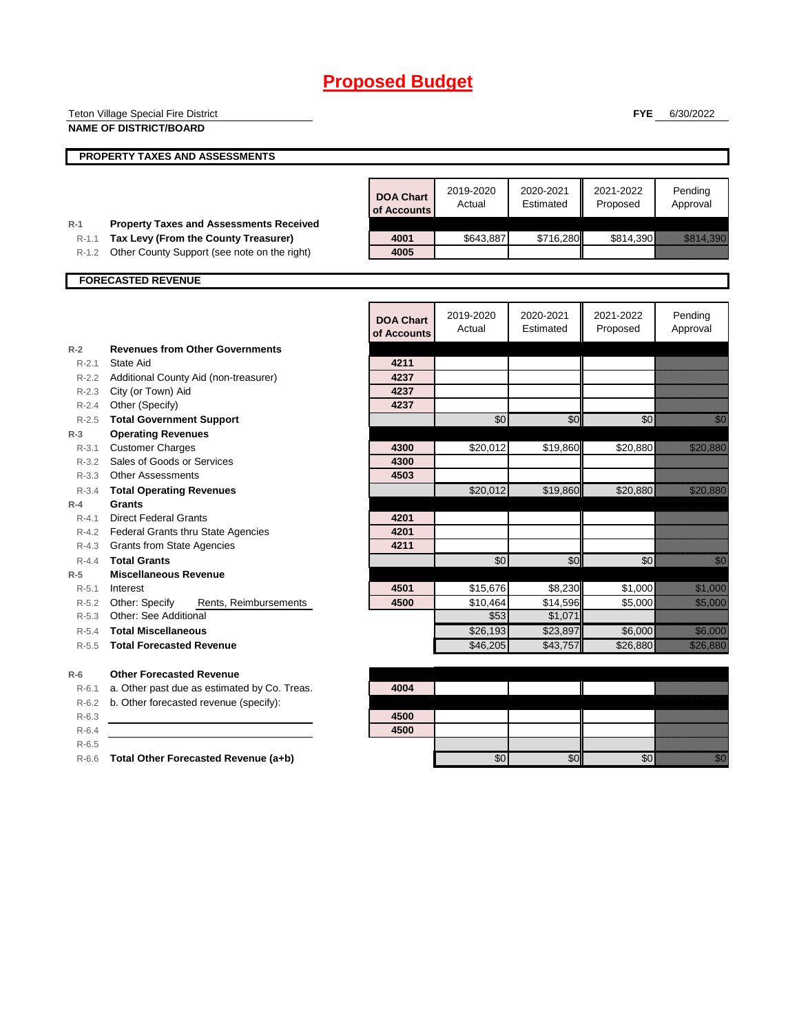|                    | Teton Village Special Fire District                |                  |           |           | <b>FYE</b> | 6/30/2022                                                                                                                                                                                                                        |
|--------------------|----------------------------------------------------|------------------|-----------|-----------|------------|----------------------------------------------------------------------------------------------------------------------------------------------------------------------------------------------------------------------------------|
|                    | <b>NAME OF DISTRICT/BOARD</b>                      |                  |           |           |            |                                                                                                                                                                                                                                  |
|                    |                                                    |                  |           |           |            |                                                                                                                                                                                                                                  |
|                    | PROPERTY TAXES AND ASSESSMENTS                     |                  |           |           |            |                                                                                                                                                                                                                                  |
|                    |                                                    |                  |           |           |            |                                                                                                                                                                                                                                  |
|                    |                                                    | <b>DOA Chart</b> | 2019-2020 | 2020-2021 | 2021-2022  | Pending                                                                                                                                                                                                                          |
|                    |                                                    | of Accounts      | Actual    | Estimated | Proposed   | Approval                                                                                                                                                                                                                         |
| R-1                | <b>Property Taxes and Assessments Received</b>     |                  |           |           |            |                                                                                                                                                                                                                                  |
| $R-1.1$            | Tax Levy (From the County Treasurer)               | 4001             | \$643,887 | \$716,280 | \$814,390  | an dhe ann an t-òrdachd ann an 1970.<br>Bhailtean an t-òrdachd an t-òrdachd an 1970, an t-òrdachd an 1971.                                                                                                                       |
|                    | R-1.2 Other County Support (see note on the right) | 4005             |           |           |            |                                                                                                                                                                                                                                  |
|                    |                                                    |                  |           |           |            |                                                                                                                                                                                                                                  |
|                    | <b>FORECASTED REVENUE</b>                          |                  |           |           |            |                                                                                                                                                                                                                                  |
|                    |                                                    |                  |           |           |            |                                                                                                                                                                                                                                  |
|                    |                                                    | <b>DOA Chart</b> | 2019-2020 | 2020-2021 | 2021-2022  | Pending                                                                                                                                                                                                                          |
|                    |                                                    | of Accounts      | Actual    | Estimated | Proposed   | Approval                                                                                                                                                                                                                         |
| $R-2$              | <b>Revenues from Other Governments</b>             |                  |           |           |            |                                                                                                                                                                                                                                  |
| $R - 2.1$          | State Aid                                          | 4211             |           |           |            |                                                                                                                                                                                                                                  |
|                    | R-2.2 Additional County Aid (non-treasurer)        | 4237             |           |           |            |                                                                                                                                                                                                                                  |
| $R - 2.3$          | City (or Town) Aid                                 | 4237             |           |           |            |                                                                                                                                                                                                                                  |
| R-2.4              | Other (Specify)                                    | 4237             |           |           |            |                                                                                                                                                                                                                                  |
| $R-2.5$            | <b>Total Government Support</b>                    |                  | \$0       | \$0       | \$0        | 1999                                                                                                                                                                                                                             |
| $R-3$              | <b>Operating Revenues</b>                          |                  |           |           |            |                                                                                                                                                                                                                                  |
|                    | R-3.1 Customer Charges                             | 4300             | \$20,012  | \$19,860  | \$20,880   | <u> Hardina Sa</u>                                                                                                                                                                                                               |
|                    | R-3.2 Sales of Goods or Services                   | 4300             |           |           |            |                                                                                                                                                                                                                                  |
|                    | R-3.3 Other Assessments                            | 4503             |           |           |            |                                                                                                                                                                                                                                  |
| $R - 3.4$          | <b>Total Operating Revenues</b>                    |                  | \$20,012  | \$19,860  | \$20,880   | <u> Hillian Sco</u> l                                                                                                                                                                                                            |
| $R-4$<br>$R - 4.1$ | Grants<br><b>Direct Federal Grants</b>             | 4201             |           |           |            |                                                                                                                                                                                                                                  |
|                    | R-4.2 Federal Grants thru State Agencies           | 4201             |           |           |            |                                                                                                                                                                                                                                  |
| R-4.3              | <b>Grants from State Agencies</b>                  | 4211             |           |           |            |                                                                                                                                                                                                                                  |
| $R - 4.4$          | <b>Total Grants</b>                                |                  | \$0       | \$0       | \$0        | en de la familie de la familie de la familie de la familie de la familie de la familie de la familie de la fam<br>Constituit de la familie de la familie de la familie de la familie de la familie de la familie de la familie d |
| $R-5$              | <b>Miscellaneous Revenue</b>                       |                  |           |           |            |                                                                                                                                                                                                                                  |
| $R-5.1$            | Interest                                           | 4501             | \$15,676  | \$8,230   | \$1,000    | <u>e de la construcción de la construcción de la construcción de la construcción de la construcción de la constru</u>                                                                                                            |
| R-5.2              | Other: Specify<br>Rents, Reimbursements            | 4500             | \$10,464  | \$14,596  | \$5,000    | <u>ti ali parti di seriali di seriali di seriali di seriali di seriali di seriali di seriali di seriali di seria</u>                                                                                                             |
|                    | R-5.3 Other: See Additional                        |                  | \$53      | \$1,071   |            |                                                                                                                                                                                                                                  |
| R-5.4              | <b>Total Miscellaneous</b>                         |                  | \$26,193  | \$23,897  | \$6,000    | <u>ti ka</u>                                                                                                                                                                                                                     |
| $R-5.5$            | <b>Total Forecasted Revenue</b>                    |                  | \$46,205  | \$43,757  | \$26,880   | e de la composición de la composición de la composición de la composición de la composición de la composición<br>A la composición de la composición de la composición de la composición de la composición de la composición de   |
| $R-6$              | <b>Other Forecasted Revenue</b>                    |                  |           |           |            |                                                                                                                                                                                                                                  |
| $R - 6.1$          | a. Other past due as estimated by Co. Treas.       | 4004             |           |           |            |                                                                                                                                                                                                                                  |
| R-6.2              | b. Other forecasted revenue (specify):             |                  |           |           |            |                                                                                                                                                                                                                                  |
| $R-6.3$            |                                                    | 4500             |           |           |            |                                                                                                                                                                                                                                  |
| $R-6.4$            |                                                    | 4500             |           |           |            |                                                                                                                                                                                                                                  |
| $R-6.5$            |                                                    |                  |           |           |            |                                                                                                                                                                                                                                  |
|                    | R-6.6 Total Other Forecasted Revenue (a+b)         |                  | \$0       | \$0       | \$0        | <u>man</u>                                                                                                                                                                                                                       |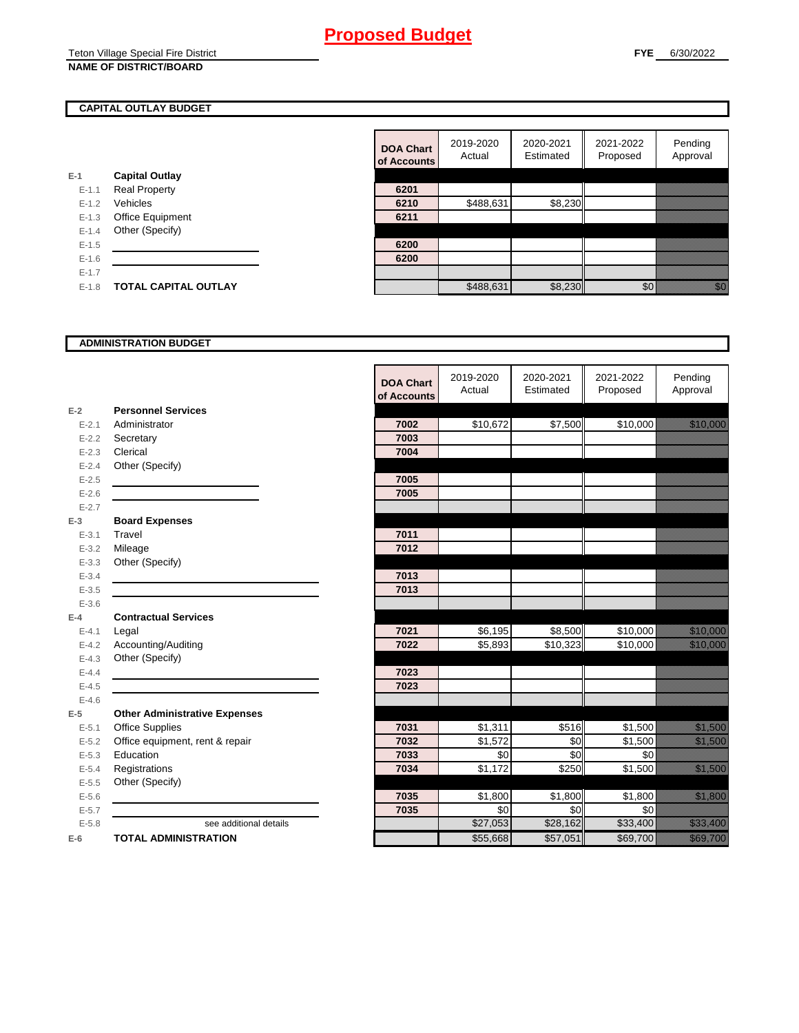#### Teton Village Special Fire District **NAME OF DISTRICT/BOARD**

## **CAPITAL OUTLAY BUDGET**

|           |                             | ui Auuu |
|-----------|-----------------------------|---------|
| $E-1$     | <b>Capital Outlay</b>       |         |
| $E - 1.1$ | <b>Real Property</b>        | 6201    |
| $E - 1.2$ | Vehicles                    | 6210    |
| $E - 1.3$ | Office Equipment            | 6211    |
| $E - 1.4$ | Other (Specify)             |         |
| $E-1.5$   |                             | 6200    |
| $E-1.6$   |                             | 6200    |
| $E - 1.7$ |                             |         |
| $E - 1.8$ | <b>TOTAL CAPITAL OUTLAY</b> |         |
|           |                             |         |

|           |                             | <b>DOA Chart</b><br>of Accounts | 2019-2020<br>Actual | 2020-2021<br>Estimated | 2021-2022<br>Proposed | Pending<br>Approval                                                                                                                                                                                                             |
|-----------|-----------------------------|---------------------------------|---------------------|------------------------|-----------------------|---------------------------------------------------------------------------------------------------------------------------------------------------------------------------------------------------------------------------------|
|           | <b>Capital Outlay</b>       |                                 |                     |                        |                       |                                                                                                                                                                                                                                 |
| $E-1.1$   | <b>Real Property</b>        | 6201                            |                     |                        |                       |                                                                                                                                                                                                                                 |
| $E - 1.2$ | Vehicles                    | 6210                            | \$488,631           | \$8,230                |                       |                                                                                                                                                                                                                                 |
| $E-1.3$   | Office Equipment            | 6211                            |                     |                        |                       |                                                                                                                                                                                                                                 |
| $E - 1.4$ | Other (Specify)             |                                 |                     |                        |                       |                                                                                                                                                                                                                                 |
| $E-1.5$   |                             | 6200                            |                     |                        |                       |                                                                                                                                                                                                                                 |
| $E-1.6$   |                             | 6200                            |                     |                        |                       |                                                                                                                                                                                                                                 |
| $E - 1.7$ |                             |                                 |                     |                        |                       |                                                                                                                                                                                                                                 |
| $E-1.8$   | <b>TOTAL CAPITAL OUTLAY</b> |                                 | \$488,631           | \$8,230                | \$0                   | en de la familie de la familie de la familie de la familie de la familie de la familie de la familie de la fam<br>Conceptuale de la familie de la familie de la familie de la familie de la familie de la familie de la familie |

## **ADMINISTRATION BUDGET**

|           |                                      |                                 | 2019-2020 | 2020-2021           | 2021-2022 | Pending                                                                                                                   |
|-----------|--------------------------------------|---------------------------------|-----------|---------------------|-----------|---------------------------------------------------------------------------------------------------------------------------|
|           |                                      | <b>DOA Chart</b><br>of Accounts | Actual    | Estimated           | Proposed  | Approval                                                                                                                  |
| $E-2$     | <b>Personnel Services</b>            |                                 |           |                     |           |                                                                                                                           |
| $E - 2.1$ | Administrator                        | 7002                            | \$10,672  | \$7,500             | \$10,000  | a katika kacamatan ing Kabupatèn Grégorian                                                                                |
| $E - 2.2$ | Secretary                            | 7003                            |           |                     |           |                                                                                                                           |
| $E - 2.3$ | Clerical                             | 7004                            |           |                     |           |                                                                                                                           |
| $E - 2.4$ | Other (Specify)                      |                                 |           |                     |           |                                                                                                                           |
| $E - 2.5$ |                                      | 7005                            |           |                     |           |                                                                                                                           |
| $E - 2.6$ |                                      | 7005                            |           |                     |           |                                                                                                                           |
| $E - 2.7$ |                                      |                                 |           |                     |           |                                                                                                                           |
| $E-3$     | <b>Board Expenses</b>                |                                 |           |                     |           |                                                                                                                           |
| $E - 3.1$ | Travel                               | 7011                            |           |                     |           |                                                                                                                           |
| $E - 3.2$ | Mileage                              | 7012                            |           |                     |           |                                                                                                                           |
| $E - 3.3$ | Other (Specify)                      |                                 |           |                     |           |                                                                                                                           |
| $E - 3.4$ |                                      | 7013                            |           |                     |           |                                                                                                                           |
| $E - 3.5$ |                                      | 7013                            |           |                     |           |                                                                                                                           |
| $E - 3.6$ |                                      |                                 |           |                     |           |                                                                                                                           |
| $E-4$     | <b>Contractual Services</b>          |                                 |           |                     |           |                                                                                                                           |
| $E - 4.1$ | Legal                                | 7021                            | \$6,195   | $\overline{$8,500}$ | \$10,000  | <u>ting and the second second in the second second in the second second in the second second in the second second</u>     |
| $E - 4.2$ | Accounting/Auditing                  | 7022                            | \$5,893   | \$10,323            | \$10,000  | <u> Karl Sara</u>                                                                                                         |
| $E - 4.3$ | Other (Specify)                      |                                 |           |                     |           |                                                                                                                           |
| $E-4.4$   |                                      | 7023                            |           |                     |           |                                                                                                                           |
| $E - 4.5$ |                                      | 7023                            |           |                     |           |                                                                                                                           |
| $E - 4.6$ |                                      |                                 |           |                     |           |                                                                                                                           |
| $E-5$     | <b>Other Administrative Expenses</b> |                                 |           |                     |           |                                                                                                                           |
| $E - 5.1$ | <b>Office Supplies</b>               | 7031                            | \$1,311   | \$516               | \$1,500   | a katika katika katika katika katika katika alifuwa ana amazo ana amazo ana amazo ana amazo ana amazo ana amaz<br>Marejeo |
| $E - 5.2$ | Office equipment, rent & repair      | 7032                            | \$1,572   | \$0                 | \$1,500   | <u>ti ka</u>                                                                                                              |
| $E - 5.3$ | Education                            | 7033                            | \$0       | \$0                 | \$0       |                                                                                                                           |
| $E - 5.4$ | Registrations                        | 7034                            | \$1,172   | \$250               | \$1,500   | <u> Kalendari Serika</u>                                                                                                  |
| $E - 5.5$ | Other (Specify)                      |                                 |           |                     |           |                                                                                                                           |
| $E - 5.6$ |                                      | 7035                            | \$1,800   | \$1,800             | \$1,800   | <u> Hillian San B</u>                                                                                                     |
| $E - 5.7$ |                                      | 7035                            | \$0       | \$0                 | \$0       |                                                                                                                           |
| $E - 5.8$ | see additional details               |                                 | \$27,053  | \$28,162            | \$33,400  | <b>Richard Constant</b>                                                                                                   |
| $E-6$     | <b>TOTAL ADMINISTRATION</b>          |                                 | \$55,668  | \$57,051            | \$69,700  | a a an an t-                                                                                                              |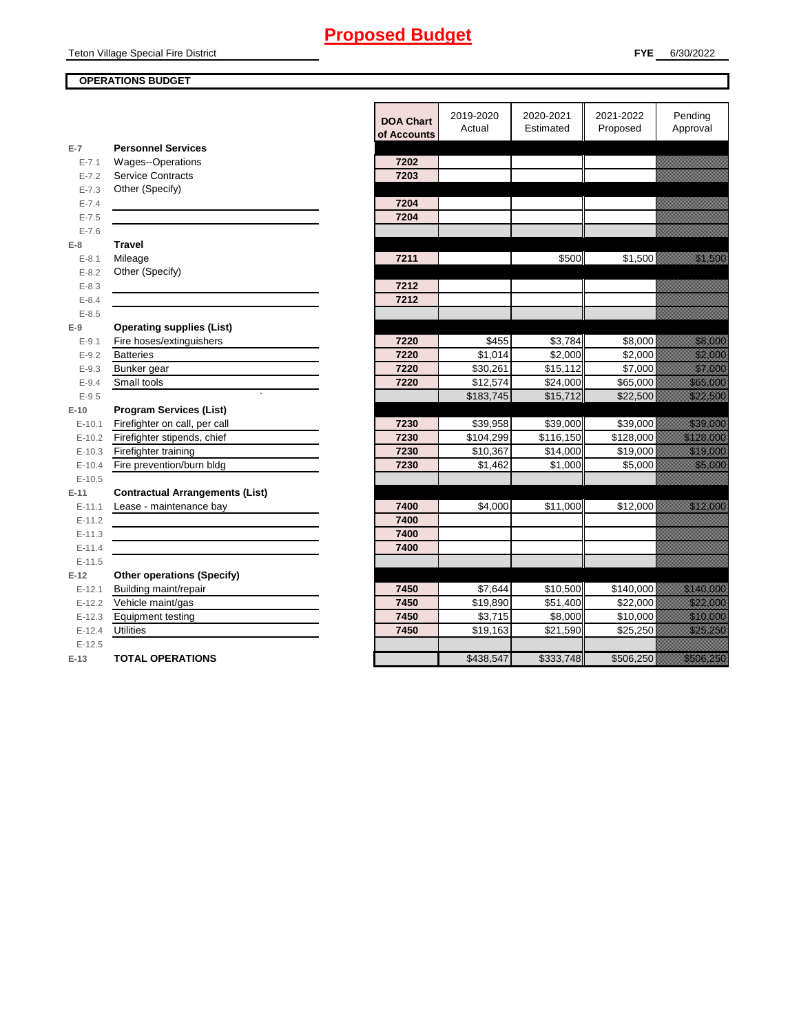## **OPERATIONS BUDGET**

|                        |                                        | <b>DOA Chart</b><br>of Accounts | 2019-2020<br>Actual | 2020-2021<br>Estimated | 2021-2022<br>Proposed | Pending<br>Approval                                                                                                                                                                                                             |
|------------------------|----------------------------------------|---------------------------------|---------------------|------------------------|-----------------------|---------------------------------------------------------------------------------------------------------------------------------------------------------------------------------------------------------------------------------|
| $E-7$                  | <b>Personnel Services</b>              |                                 |                     |                        |                       |                                                                                                                                                                                                                                 |
| $E - 7.1$              | Wages--Operations                      | 7202                            |                     |                        |                       |                                                                                                                                                                                                                                 |
| $E - 7.2$              | <b>Service Contracts</b>               | 7203                            |                     |                        |                       |                                                                                                                                                                                                                                 |
| $E - 7.3$              | Other (Specify)                        |                                 |                     |                        |                       |                                                                                                                                                                                                                                 |
| $E - 7.4$              |                                        | 7204                            |                     |                        |                       |                                                                                                                                                                                                                                 |
| $E - 7.5$              |                                        | 7204                            |                     |                        |                       |                                                                                                                                                                                                                                 |
| $E - 7.6$              |                                        |                                 |                     |                        |                       |                                                                                                                                                                                                                                 |
| $E-8$                  | <b>Travel</b>                          | 7211                            |                     | \$500                  |                       | <u>tik alaman da</u>                                                                                                                                                                                                            |
| $E - 8.1$<br>$E - 8.2$ | Mileage<br>Other (Specify)             |                                 |                     |                        | \$1,500               |                                                                                                                                                                                                                                 |
| $E - 8.3$              |                                        | 7212                            |                     |                        |                       |                                                                                                                                                                                                                                 |
| $E - 8.4$              |                                        | 7212                            |                     |                        |                       |                                                                                                                                                                                                                                 |
| $E - 8.5$              |                                        |                                 |                     |                        |                       |                                                                                                                                                                                                                                 |
| $E-9$                  | <b>Operating supplies (List)</b>       |                                 |                     |                        |                       |                                                                                                                                                                                                                                 |
| $E-9.1$                | Fire hoses/extinguishers               | 7220                            | \$455               | \$3,784                | \$8,000               | <u> Harristo e</u>                                                                                                                                                                                                              |
| $E-9.2$                | <b>Batteries</b>                       | 7220                            | \$1,014             | \$2.000                | \$2.000               | <u> Hillisooria</u>                                                                                                                                                                                                             |
| $E-9.3$                | Bunker gear                            | 7220                            | \$30,261            | \$15,112               | \$7,000               | <u>ti ka maraje</u>                                                                                                                                                                                                             |
| $E - 9.4$              | Small tools                            | 7220                            | \$12,574            | \$24,000               | \$65,000              | <u>eliteratur in den sta</u>                                                                                                                                                                                                    |
| $E - 9.5$              |                                        |                                 | \$183,745           | \$15,712               | \$22,500              | <u> Kalifornia (</u>                                                                                                                                                                                                            |
| $E-10$                 | <b>Program Services (List)</b>         |                                 |                     |                        |                       |                                                                                                                                                                                                                                 |
| $E-10.1$               | Firefighter on call, per call          | 7230                            | \$39,958            | \$39,000               | \$39,000              | a katalunggal dan katalunggal dan katalunggal dan katalunggal dan katalunggal dan katalunggal dan katalunggal<br>Katalunggal dan katalunggal dan katalunggal dan katalunggal dan katalunggal dan katalunggal dan katalunggal da |
| $E-10.2$               | Firefighter stipends, chief            | 7230                            | \$104,299           | \$116,150              | \$128,000             | <u>e di seria di seria di seria di seria di seria di seria di seria di seria di seria di seria di seria di seria</u>                                                                                                            |
| $E-10.3$               | Firefighter training                   | 7230                            | \$10,367            | \$14,000               | \$19,000              | <u> Maria Sant</u>                                                                                                                                                                                                              |
| $E-10.4$               | Fire prevention/burn bldg              | 7230                            | \$1,462             | \$1,000                | \$5,000               | <u> Karlin Sara</u>                                                                                                                                                                                                             |
| $E-10.5$               |                                        |                                 |                     |                        |                       |                                                                                                                                                                                                                                 |
| $E-11$                 | <b>Contractual Arrangements (List)</b> |                                 |                     |                        |                       |                                                                                                                                                                                                                                 |
| $E-11.1$               | Lease - maintenance bay                | 7400                            | \$4,000             | \$11,000               | \$12,000              | <u> Kalifornia (</u>                                                                                                                                                                                                            |
| $E-11.2$               |                                        | 7400                            |                     |                        |                       |                                                                                                                                                                                                                                 |
| $E-11.3$               |                                        | 7400                            |                     |                        |                       |                                                                                                                                                                                                                                 |
| $E-11.4$               |                                        | 7400                            |                     |                        |                       |                                                                                                                                                                                                                                 |
| $E-11.5$               |                                        |                                 |                     |                        |                       |                                                                                                                                                                                                                                 |
| $E-12$                 | <b>Other operations (Specify)</b>      |                                 |                     |                        |                       |                                                                                                                                                                                                                                 |
| $E-12.1$               | Building maint/repair                  | 7450                            | \$7,644             | \$10,500               | \$140,000             | <u>e de la provincia de la provincia de la provincia de la provincia de la provincia de la provincia de la provi</u>                                                                                                            |
| $E-12.2$               | Vehicle maint/gas                      | 7450                            | \$19,890            | $\overline{$}51,400$   | \$22,000              | <u> Karlingan Sa</u>                                                                                                                                                                                                            |
| $E-12.3$               | <b>Equipment testing</b>               | 7450                            | \$3.715             | $\overline{$8,000}$    | \$10,000              | <u> Karl Sara</u>                                                                                                                                                                                                               |
| $E-12.4$               | Utilities                              | 7450                            | \$19,163            | \$21,590               | \$25,250              | <u> Karl Charles (</u>                                                                                                                                                                                                          |
| $E-12.5$               |                                        |                                 |                     |                        |                       |                                                                                                                                                                                                                                 |
| $E-13$                 | <b>TOTAL OPERATIONS</b>                |                                 | \$438,547           | \$333,748              | \$506,250             | <u>e de la componenta</u>                                                                                                                                                                                                       |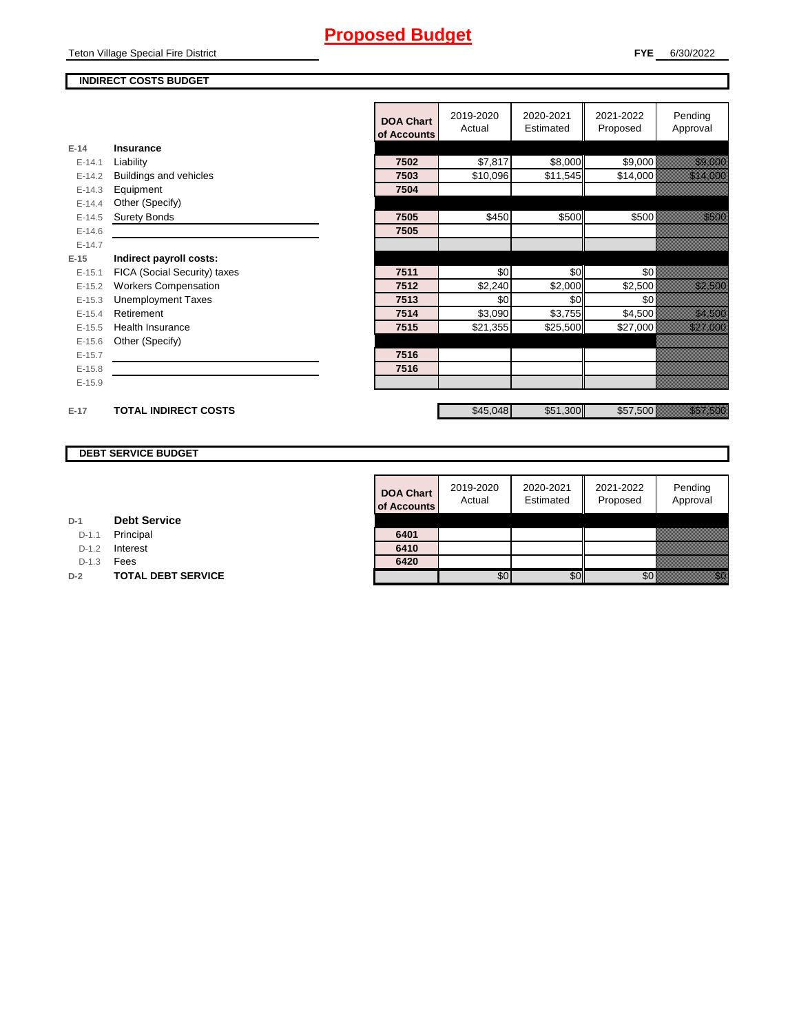Teton Village Special Fire District

## **FYE** 6/30/2022

## **INDIRECT COSTS BUDGET**

|          |                               | <b>DOA Chart</b><br>of Accounts | 2019-2020<br>Actual | 2020-2021<br>Estimated | 2021-2022<br>Proposed | Pending<br>Approval                |
|----------|-------------------------------|---------------------------------|---------------------|------------------------|-----------------------|------------------------------------|
| $E-14$   | Insurance                     |                                 |                     |                        |                       |                                    |
| $E-14.1$ | Liability                     | 7502                            | \$7,817             | \$8,000                | \$9,000               | <u> Hillian Sta</u>                |
| $E-14.2$ | <b>Buildings and vehicles</b> | 7503                            | \$10,096            | \$11,545               | \$14,000              | <u> Hillian Sara</u>               |
| $E-14.3$ | Equipment                     | 7504                            |                     |                        |                       |                                    |
| $E-14.4$ | Other (Specify)               |                                 |                     |                        |                       |                                    |
| $E-14.5$ | <b>Surety Bonds</b>           | 7505                            | \$450               | \$500                  | \$500                 | <u> Hillian Sa</u>                 |
| $E-14.6$ |                               | 7505                            |                     |                        |                       |                                    |
| $E-14.7$ |                               |                                 |                     |                        |                       |                                    |
| $E-15$   | Indirect payroll costs:       |                                 |                     |                        |                       |                                    |
| $E-15.1$ | FICA (Social Security) taxes  | 7511                            | \$0                 | \$0                    | \$0                   |                                    |
| $E-15.2$ | <b>Workers Compensation</b>   | 7512                            | \$2,240             | \$2,000                | \$2,500               | <u> Kalendari S</u>                |
| $E-15.3$ | <b>Unemployment Taxes</b>     | 7513                            | \$0                 | \$0                    | \$0                   |                                    |
| $E-15.4$ | Retirement                    | 7514                            | \$3,090             | \$3,755                | \$4,500               | <u>i sedan pa</u>                  |
| $E-15.5$ | <b>Health Insurance</b>       | 7515                            | \$21,355            | \$25,500               | \$27,000              | <u> Kalifarda (</u>                |
| $E-15.6$ | Other (Specify)               |                                 |                     |                        |                       |                                    |
| $E-15.7$ |                               | 7516                            |                     |                        |                       |                                    |
| $E-15.8$ |                               | 7516                            |                     |                        |                       |                                    |
| $E-15.9$ |                               |                                 |                     |                        |                       |                                    |
|          |                               |                                 |                     |                        |                       |                                    |
| $E-17$   | <b>TOTAL INDIRECT COSTS</b>   |                                 | \$45,048            | \$51,300               | \$57,500              | <u> Karlin Maria San Barat Ing</u> |

## **DEBT SERVICE BUDGET**

| <b>DOA Chart</b><br>of Accounts | 2019-2020<br>Actual | 2020-2021<br>Estimated | 2021-2022<br>Proposed | Pending<br>Approval |
|---------------------------------|---------------------|------------------------|-----------------------|---------------------|
| 6401                            |                     |                        |                       |                     |
| 6410                            |                     |                        |                       |                     |
| 6420                            |                     |                        |                       |                     |
|                                 |                     |                        |                       |                     |

| D-1 |  | <b>Debt Service</b> |
|-----|--|---------------------|
|-----|--|---------------------|

D-1.1 Principal

D-1.2 **Interest** 

D-1.3 **Fees** 

**D-2 TOTAL DEBT SERVICE**